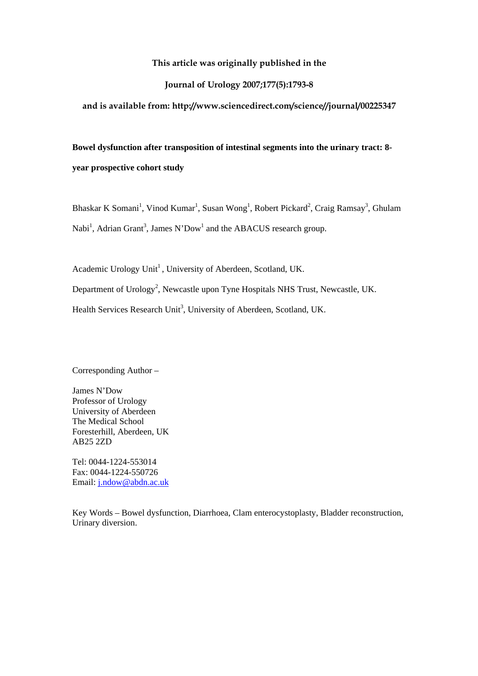## **This article was originally published in the**

# **Journal of Urology 2007;177(5):1793-8**

**and is available from: http://www.sciencedirect.com/science//journal/00225347** 

**Bowel dysfunction after transposition of intestinal segments into the urinary tract: 8 year prospective cohort study** 

Bhaskar K Somani<sup>1</sup>, Vinod Kumar<sup>1</sup>, Susan Wong<sup>1</sup>, Robert Pickard<sup>2</sup>, Craig Ramsay<sup>3</sup>, Ghulam Nabi<sup>1</sup>, Adrian Grant<sup>3</sup>, James N'Dow<sup>1</sup> and the ABACUS research group.

Academic Urology Unit<sup>1</sup>, University of Aberdeen, Scotland, UK. Department of Urology<sup>2</sup>, Newcastle upon Tyne Hospitals NHS Trust, Newcastle, UK. Health Services Research Unit<sup>3</sup>, University of Aberdeen, Scotland, UK.

Corresponding Author –

James N'Dow Professor of Urology University of Aberdeen The Medical School Foresterhill, Aberdeen, UK AB25 2ZD

Tel: 0044-1224-553014 Fax: 0044-1224-550726 Email: [j.ndow@abdn.ac.uk](mailto:j.ndow@abdn.ac.uk)

Key Words – Bowel dysfunction, Diarrhoea, Clam enterocystoplasty, Bladder reconstruction, Urinary diversion.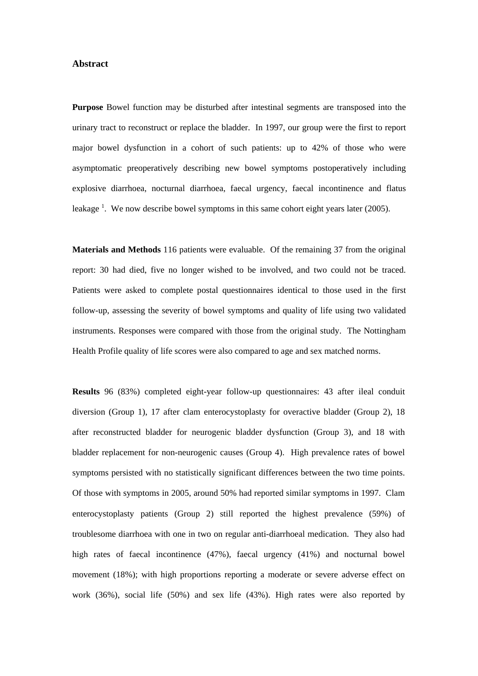## **Abstract**

**Purpose** Bowel function may be disturbed after intestinal segments are transposed into the urinary tract to reconstruct or replace the bladder. In 1997, our group were the first to report major bowel dysfunction in a cohort of such patients: up to 42% of those who were asymptomatic preoperatively describing new bowel symptoms postoperatively including explosive diarrhoea, nocturnal diarrhoea, faecal urgency, faecal incontinence and flatus leakage  $^1$ . We now describe bowel symptoms in this same cohort eight years later (2005).

**Materials and Methods** 116 patients were evaluable. Of the remaining 37 from the original report: 30 had died, five no longer wished to be involved, and two could not be traced. Patients were asked to complete postal questionnaires identical to those used in the first follow-up, assessing the severity of bowel symptoms and quality of life using two validated instruments. Responses were compared with those from the original study. The Nottingham Health Profile quality of life scores were also compared to age and sex matched norms.

**Results** 96 (83%) completed eight-year follow-up questionnaires: 43 after ileal conduit diversion (Group 1), 17 after clam enterocystoplasty for overactive bladder (Group 2), 18 after reconstructed bladder for neurogenic bladder dysfunction (Group 3), and 18 with bladder replacement for non-neurogenic causes (Group 4). High prevalence rates of bowel symptoms persisted with no statistically significant differences between the two time points. Of those with symptoms in 2005, around 50% had reported similar symptoms in 1997. Clam enterocystoplasty patients (Group 2) still reported the highest prevalence (59%) of troublesome diarrhoea with one in two on regular anti-diarrhoeal medication. They also had high rates of faecal incontinence (47%), faecal urgency (41%) and nocturnal bowel movement (18%); with high proportions reporting a moderate or severe adverse effect on work (36%), social life (50%) and sex life (43%). High rates were also reported by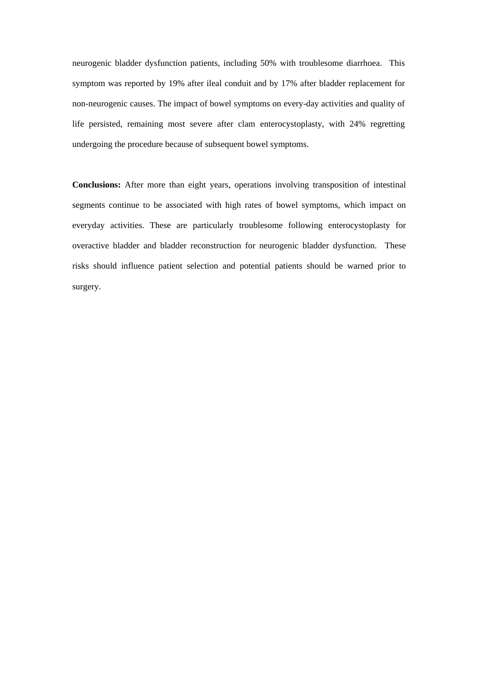neurogenic bladder dysfunction patients, including 50% with troublesome diarrhoea. This symptom was reported by 19% after ileal conduit and by 17% after bladder replacement for non-neurogenic causes. The impact of bowel symptoms on every-day activities and quality of life persisted, remaining most severe after clam enterocystoplasty, with 24% regretting undergoing the procedure because of subsequent bowel symptoms.

**Conclusions:** After more than eight years, operations involving transposition of intestinal segments continue to be associated with high rates of bowel symptoms, which impact on everyday activities. These are particularly troublesome following enterocystoplasty for overactive bladder and bladder reconstruction for neurogenic bladder dysfunction. These risks should influence patient selection and potential patients should be warned prior to surgery.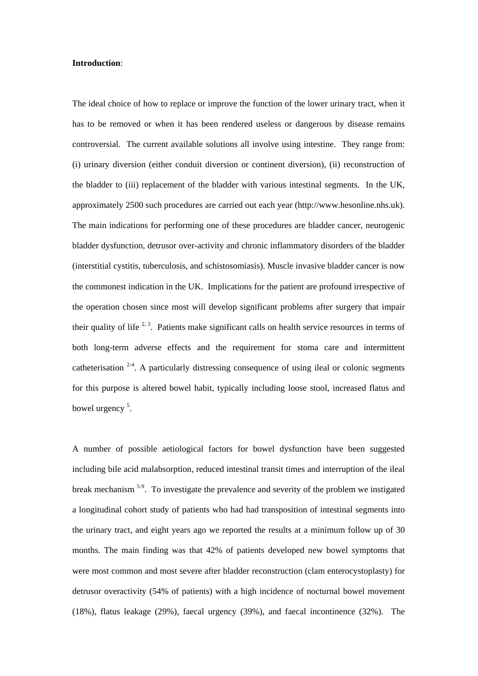#### **Introduction**:

The ideal choice of how to replace or improve the function of the lower urinary tract, when it has to be removed or when it has been rendered useless or dangerous by disease remains controversial. The current available solutions all involve using intestine. They range from: (i) urinary diversion (either conduit diversion or continent diversion), (ii) reconstruction of the bladder to (iii) replacement of the bladder with various intestinal segments. In the UK, approximately 2500 such procedures are carried out each year (http://www.hesonline.nhs.uk). The main indications for performing one of these procedures are bladder cancer, neurogenic bladder dysfunction, detrusor over-activity and chronic inflammatory disorders of the bladder (interstitial cystitis, tuberculosis, and schistosomiasis). Muscle invasive bladder cancer is now the commonest indication in the UK. Implications for the patient are profound irrespective of the operation chosen since most will develop significant problems after surgery that impair their quality of life  $2, 3$ . Patients make significant calls on health service resources in terms of both long-term adverse effects and the requirement for stoma care and intermittent catheterisation  $2-4$ . A particularly distressing consequence of using ileal or colonic segments for this purpose is altered bowel habit, typically including loose stool, increased flatus and bowel urgency<sup>5</sup>.

A number of possible aetiological factors for bowel dysfunction have been suggested including bile acid malabsorption, reduced intestinal transit times and interruption of the ileal break mechanism 5-9. To investigate the prevalence and severity of the problem we instigated a longitudinal cohort study of patients who had had transposition of intestinal segments into the urinary tract, and eight years ago we reported the results at a minimum follow up of 30 months. The main finding was that 42% of patients developed new bowel symptoms that were most common and most severe after bladder reconstruction (clam enterocystoplasty) for detrusor overactivity (54% of patients) with a high incidence of nocturnal bowel movement (18%), flatus leakage (29%), faecal urgency (39%), and faecal incontinence (32%). The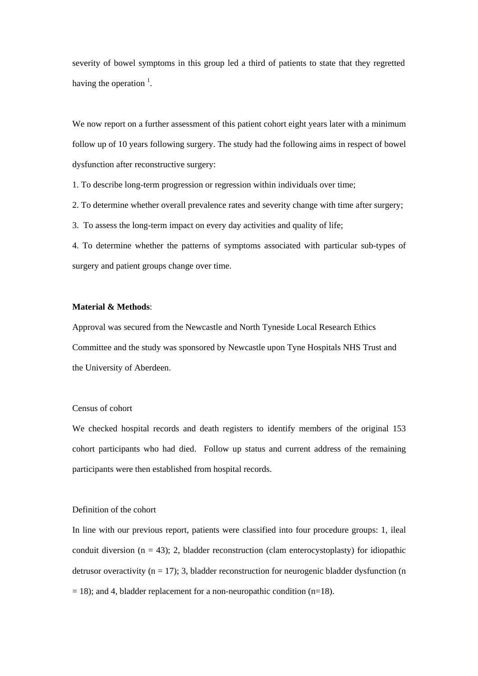severity of bowel symptoms in this group led a third of patients to state that they regretted having the operation  $\frac{1}{1}$ .

We now report on a further assessment of this patient cohort eight years later with a minimum follow up of 10 years following surgery. The study had the following aims in respect of bowel dysfunction after reconstructive surgery:

1. To describe long-term progression or regression within individuals over time;

2. To determine whether overall prevalence rates and severity change with time after surgery;

3. To assess the long-term impact on every day activities and quality of life;

4. To determine whether the patterns of symptoms associated with particular sub-types of surgery and patient groups change over time.

#### **Material & Methods**:

Approval was secured from the Newcastle and North Tyneside Local Research Ethics Committee and the study was sponsored by Newcastle upon Tyne Hospitals NHS Trust and the University of Aberdeen.

## Census of cohort

We checked hospital records and death registers to identify members of the original 153 cohort participants who had died. Follow up status and current address of the remaining participants were then established from hospital records.

#### Definition of the cohort

In line with our previous report, patients were classified into four procedure groups: 1, ileal conduit diversion ( $n = 43$ ); 2, bladder reconstruction (clam enterocystoplasty) for idiopathic detrusor overactivity ( $n = 17$ ); 3, bladder reconstruction for neurogenic bladder dysfunction (n  $= 18$ ); and 4, bladder replacement for a non-neuropathic condition (n=18).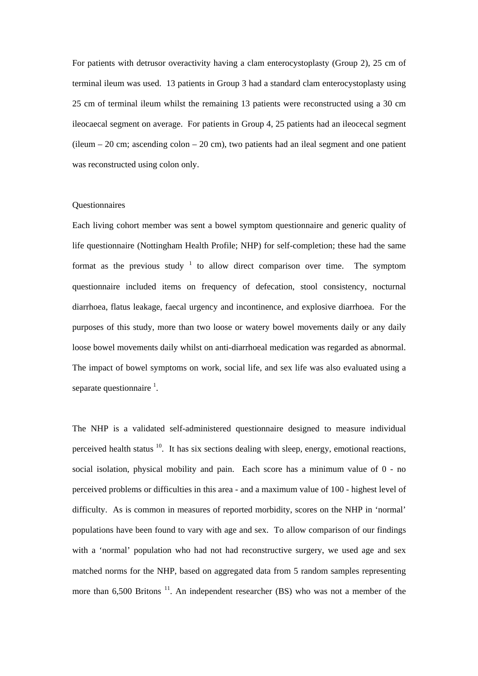For patients with detrusor overactivity having a clam enterocystoplasty (Group 2), 25 cm of terminal ileum was used. 13 patients in Group 3 had a standard clam enterocystoplasty using 25 cm of terminal ileum whilst the remaining 13 patients were reconstructed using a 30 cm ileocaecal segment on average. For patients in Group 4, 25 patients had an ileocecal segment  $(i$ leum – 20 cm; ascending colon – 20 cm), two patients had an ileal segment and one patient was reconstructed using colon only.

## Questionnaires

Each living cohort member was sent a bowel symptom questionnaire and generic quality of life questionnaire (Nottingham Health Profile; NHP) for self-completion; these had the same format as the previous study  $1$  to allow direct comparison over time. The symptom questionnaire included items on frequency of defecation, stool consistency, nocturnal diarrhoea, flatus leakage, faecal urgency and incontinence, and explosive diarrhoea. For the purposes of this study, more than two loose or watery bowel movements daily or any daily loose bowel movements daily whilst on anti-diarrhoeal medication was regarded as abnormal. The impact of bowel symptoms on work, social life, and sex life was also evaluated using a separate questionnaire  $<sup>1</sup>$ .</sup>

The NHP is a validated self-administered questionnaire designed to measure individual perceived health status  $10$ . It has six sections dealing with sleep, energy, emotional reactions, social isolation, physical mobility and pain. Each score has a minimum value of 0 - no perceived problems or difficulties in this area - and a maximum value of 100 - highest level of difficulty. As is common in measures of reported morbidity, scores on the NHP in 'normal' populations have been found to vary with age and sex. To allow comparison of our findings with a 'normal' population who had not had reconstructive surgery, we used age and sex matched norms for the NHP, based on aggregated data from 5 random samples representing more than  $6,500$  Britons<sup>11</sup>. An independent researcher (BS) who was not a member of the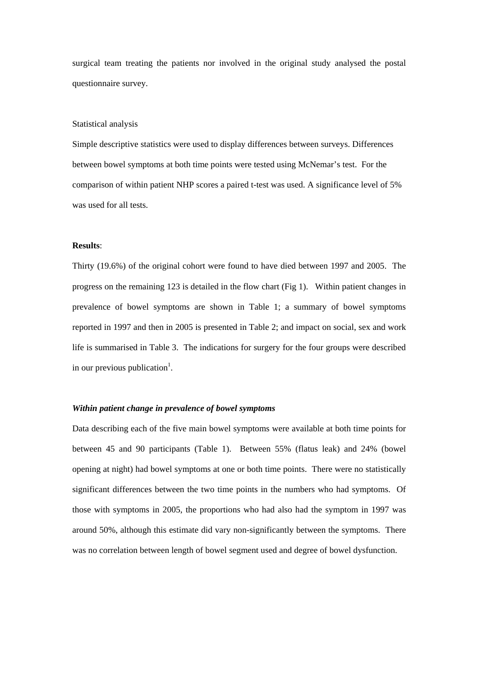surgical team treating the patients nor involved in the original study analysed the postal questionnaire survey.

#### Statistical analysis

Simple descriptive statistics were used to display differences between surveys. Differences between bowel symptoms at both time points were tested using McNemar's test. For the comparison of within patient NHP scores a paired t-test was used. A significance level of 5% was used for all tests.

## **Results**:

Thirty (19.6%) of the original cohort were found to have died between 1997 and 2005. The progress on the remaining 123 is detailed in the flow chart (Fig 1). Within patient changes in prevalence of bowel symptoms are shown in Table 1; a summary of bowel symptoms reported in 1997 and then in 2005 is presented in Table 2; and impact on social, sex and work life is summarised in Table 3. The indications for surgery for the four groups were described in our previous publication<sup>1</sup>.

## *Within patient change in prevalence of bowel symptoms*

Data describing each of the five main bowel symptoms were available at both time points for between 45 and 90 participants (Table 1). Between 55% (flatus leak) and 24% (bowel opening at night) had bowel symptoms at one or both time points. There were no statistically significant differences between the two time points in the numbers who had symptoms. Of those with symptoms in 2005, the proportions who had also had the symptom in 1997 was around 50%, although this estimate did vary non-significantly between the symptoms. There was no correlation between length of bowel segment used and degree of bowel dysfunction.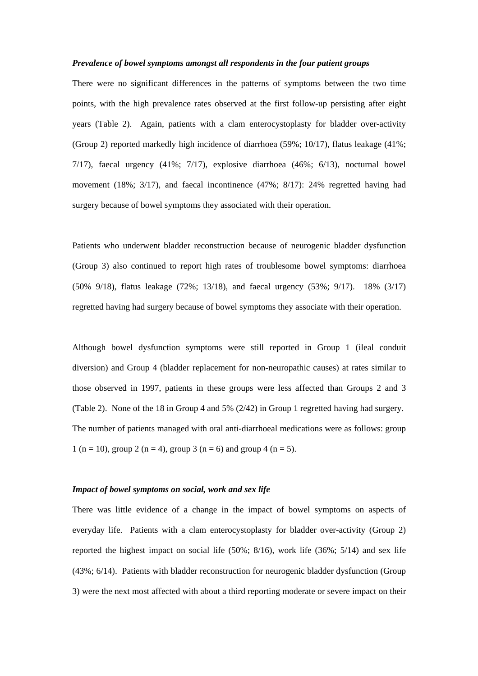#### *Prevalence of bowel symptoms amongst all respondents in the four patient groups*

There were no significant differences in the patterns of symptoms between the two time points, with the high prevalence rates observed at the first follow-up persisting after eight years (Table 2).Again, patients with a clam enterocystoplasty for bladder over-activity (Group 2) reported markedly high incidence of diarrhoea (59%; 10/17), flatus leakage (41%;  $7/17$ ), faecal urgency  $(41\%; 7/17)$ , explosive diarrhoea  $(46\%; 6/13)$ , nocturnal bowel movement (18%; 3/17), and faecal incontinence (47%; 8/17): 24% regretted having had surgery because of bowel symptoms they associated with their operation.

Patients who underwent bladder reconstruction because of neurogenic bladder dysfunction (Group 3) also continued to report high rates of troublesome bowel symptoms: diarrhoea (50% 9/18), flatus leakage (72%; 13/18), and faecal urgency (53%; 9/17). 18% (3/17) regretted having had surgery because of bowel symptoms they associate with their operation.

Although bowel dysfunction symptoms were still reported in Group 1 (ileal conduit diversion) and Group 4 (bladder replacement for non-neuropathic causes) at rates similar to those observed in 1997, patients in these groups were less affected than Groups 2 and 3 (Table 2). None of the 18 in Group 4 and 5% (2/42) in Group 1 regretted having had surgery. The number of patients managed with oral anti-diarrhoeal medications were as follows: group 1 (n = 10), group 2 (n = 4), group 3 (n = 6) and group 4 (n = 5).

## *Impact of bowel symptoms on social, work and sex life*

There was little evidence of a change in the impact of bowel symptoms on aspects of everyday life. Patients with a clam enterocystoplasty for bladder over-activity (Group 2) reported the highest impact on social life (50%; 8/16), work life (36%; 5/14) and sex life (43%; 6/14). Patients with bladder reconstruction for neurogenic bladder dysfunction (Group 3) were the next most affected with about a third reporting moderate or severe impact on their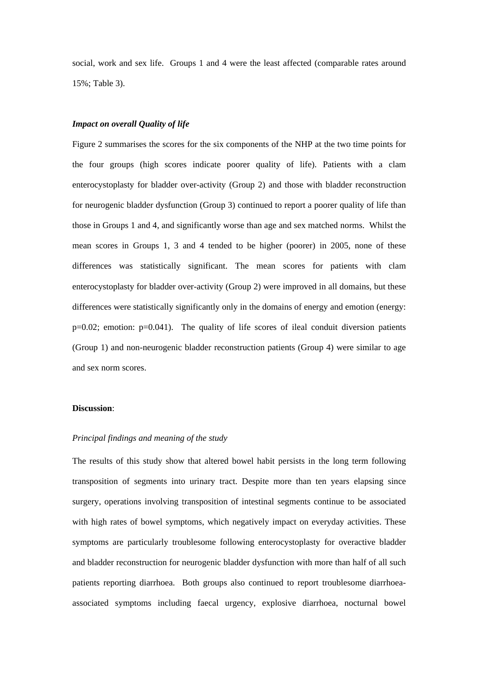social, work and sex life. Groups 1 and 4 were the least affected (comparable rates around 15%; Table 3).

#### *Impact on overall Quality of life*

Figure 2 summarises the scores for the six components of the NHP at the two time points for the four groups (high scores indicate poorer quality of life). Patients with a clam enterocystoplasty for bladder over-activity (Group 2) and those with bladder reconstruction for neurogenic bladder dysfunction (Group 3) continued to report a poorer quality of life than those in Groups 1 and 4, and significantly worse than age and sex matched norms. Whilst the mean scores in Groups 1, 3 and 4 tended to be higher (poorer) in 2005, none of these differences was statistically significant. The mean scores for patients with clam enterocystoplasty for bladder over-activity (Group 2) were improved in all domains, but these differences were statistically significantly only in the domains of energy and emotion (energy:  $p=0.02$ ; emotion:  $p=0.041$ ). The quality of life scores of ileal conduit diversion patients (Group 1) and non-neurogenic bladder reconstruction patients (Group 4) were similar to age and sex norm scores.

## **Discussion**:

#### *Principal findings and meaning of the study*

The results of this study show that altered bowel habit persists in the long term following transposition of segments into urinary tract. Despite more than ten years elapsing since surgery, operations involving transposition of intestinal segments continue to be associated with high rates of bowel symptoms, which negatively impact on everyday activities. These symptoms are particularly troublesome following enterocystoplasty for overactive bladder and bladder reconstruction for neurogenic bladder dysfunction with more than half of all such patients reporting diarrhoea. Both groups also continued to report troublesome diarrhoeaassociated symptoms including faecal urgency, explosive diarrhoea, nocturnal bowel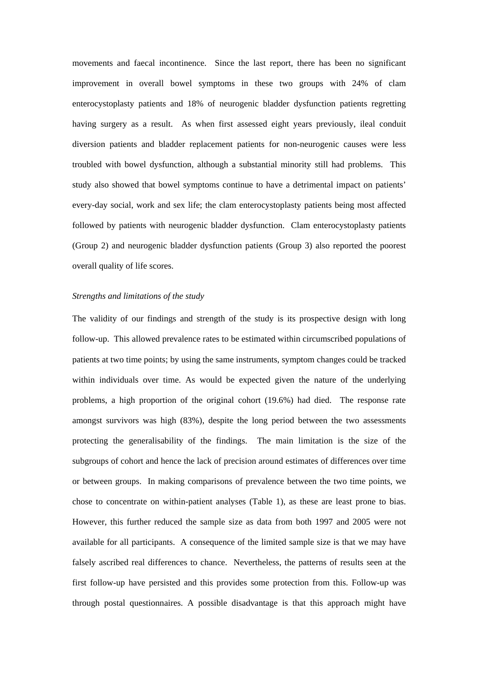movements and faecal incontinence. Since the last report, there has been no significant improvement in overall bowel symptoms in these two groups with 24% of clam enterocystoplasty patients and 18% of neurogenic bladder dysfunction patients regretting having surgery as a result. As when first assessed eight years previously, ileal conduit diversion patients and bladder replacement patients for non-neurogenic causes were less troubled with bowel dysfunction, although a substantial minority still had problems. This study also showed that bowel symptoms continue to have a detrimental impact on patients' every-day social, work and sex life; the clam enterocystoplasty patients being most affected followed by patients with neurogenic bladder dysfunction. Clam enterocystoplasty patients (Group 2) and neurogenic bladder dysfunction patients (Group 3) also reported the poorest overall quality of life scores.

#### *Strengths and limitations of the study*

The validity of our findings and strength of the study is its prospective design with long follow-up. This allowed prevalence rates to be estimated within circumscribed populations of patients at two time points; by using the same instruments, symptom changes could be tracked within individuals over time. As would be expected given the nature of the underlying problems, a high proportion of the original cohort (19.6%) had died. The response rate amongst survivors was high (83%), despite the long period between the two assessments protecting the generalisability of the findings. The main limitation is the size of the subgroups of cohort and hence the lack of precision around estimates of differences over time or between groups. In making comparisons of prevalence between the two time points, we chose to concentrate on within-patient analyses (Table 1), as these are least prone to bias. However, this further reduced the sample size as data from both 1997 and 2005 were not available for all participants. A consequence of the limited sample size is that we may have falsely ascribed real differences to chance. Nevertheless, the patterns of results seen at the first follow-up have persisted and this provides some protection from this. Follow-up was through postal questionnaires. A possible disadvantage is that this approach might have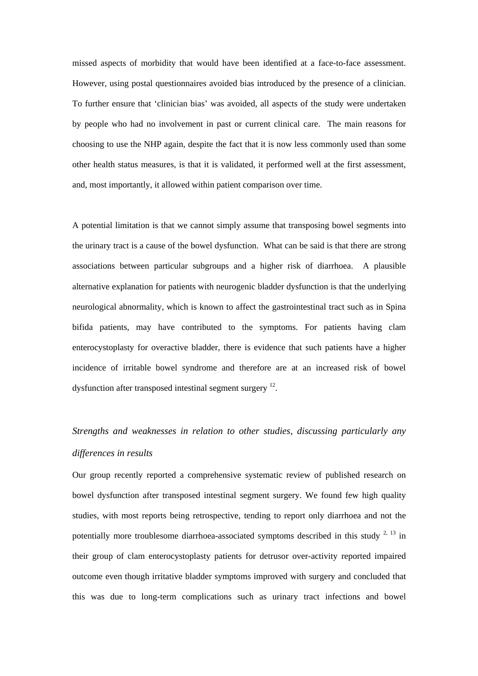missed aspects of morbidity that would have been identified at a face-to-face assessment. However, using postal questionnaires avoided bias introduced by the presence of a clinician. To further ensure that 'clinician bias' was avoided, all aspects of the study were undertaken by people who had no involvement in past or current clinical care. The main reasons for choosing to use the NHP again, despite the fact that it is now less commonly used than some other health status measures, is that it is validated, it performed well at the first assessment, and, most importantly, it allowed within patient comparison over time.

A potential limitation is that we cannot simply assume that transposing bowel segments into the urinary tract is a cause of the bowel dysfunction. What can be said is that there are strong associations between particular subgroups and a higher risk of diarrhoea. A plausible alternative explanation for patients with neurogenic bladder dysfunction is that the underlying neurological abnormality, which is known to affect the gastrointestinal tract such as in Spina bifida patients, may have contributed to the symptoms. For patients having clam enterocystoplasty for overactive bladder, there is evidence that such patients have a higher incidence of irritable bowel syndrome and therefore are at an increased risk of bowel dysfunction after transposed intestinal segment surgery 12.

# *Strengths and weaknesses in relation to other studies, discussing particularly any differences in results*

Our group recently reported a comprehensive systematic review of published research on bowel dysfunction after transposed intestinal segment surgery. We found few high quality studies, with most reports being retrospective, tending to report only diarrhoea and not the potentially more troublesome diarrhoea-associated symptoms described in this study  $2^{2}$ ,  $13$  in their group of clam enterocystoplasty patients for detrusor over-activity reported impaired outcome even though irritative bladder symptoms improved with surgery and concluded that this was due to long-term complications such as urinary tract infections and bowel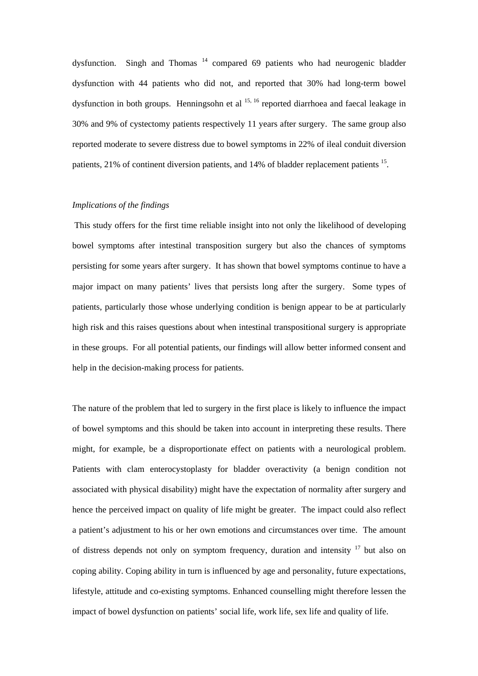dysfunction. Singh and Thomas 14 compared 69 patients who had neurogenic bladder dysfunction with 44 patients who did not, and reported that 30% had long-term bowel dysfunction in both groups. Henningsohn et al  $^{15, 16}$  reported diarrhoea and faecal leakage in 30% and 9% of cystectomy patients respectively 11 years after surgery. The same group also reported moderate to severe distress due to bowel symptoms in 22% of ileal conduit diversion patients, 21% of continent diversion patients, and 14% of bladder replacement patients 15.

### *Implications of the findings*

 This study offers for the first time reliable insight into not only the likelihood of developing bowel symptoms after intestinal transposition surgery but also the chances of symptoms persisting for some years after surgery. It has shown that bowel symptoms continue to have a major impact on many patients' lives that persists long after the surgery. Some types of patients, particularly those whose underlying condition is benign appear to be at particularly high risk and this raises questions about when intestinal transpositional surgery is appropriate in these groups. For all potential patients, our findings will allow better informed consent and help in the decision-making process for patients.

The nature of the problem that led to surgery in the first place is likely to influence the impact of bowel symptoms and this should be taken into account in interpreting these results. There might, for example, be a disproportionate effect on patients with a neurological problem. Patients with clam enterocystoplasty for bladder overactivity (a benign condition not associated with physical disability) might have the expectation of normality after surgery and hence the perceived impact on quality of life might be greater. The impact could also reflect a patient's adjustment to his or her own emotions and circumstances over time. The amount of distress depends not only on symptom frequency, duration and intensity  $17$  but also on coping ability. Coping ability in turn is influenced by age and personality, future expectations, lifestyle, attitude and co-existing symptoms. Enhanced counselling might therefore lessen the impact of bowel dysfunction on patients' social life, work life, sex life and quality of life.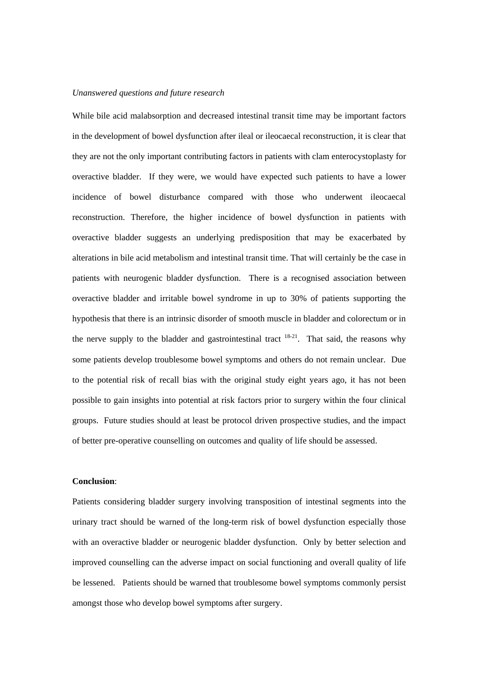# *Unanswered questions and future research*

While bile acid malabsorption and decreased intestinal transit time may be important factors in the development of bowel dysfunction after ileal or ileocaecal reconstruction, it is clear that they are not the only important contributing factors in patients with clam enterocystoplasty for overactive bladder. If they were, we would have expected such patients to have a lower incidence of bowel disturbance compared with those who underwent ileocaecal reconstruction. Therefore, the higher incidence of bowel dysfunction in patients with overactive bladder suggests an underlying predisposition that may be exacerbated by alterations in bile acid metabolism and intestinal transit time. That will certainly be the case in patients with neurogenic bladder dysfunction. There is a recognised association between overactive bladder and irritable bowel syndrome in up to 30% of patients supporting the hypothesis that there is an intrinsic disorder of smooth muscle in bladder and colorectum or in the nerve supply to the bladder and gastrointestinal tract  $18-21$ . That said, the reasons why some patients develop troublesome bowel symptoms and others do not remain unclear. Due to the potential risk of recall bias with the original study eight years ago, it has not been possible to gain insights into potential at risk factors prior to surgery within the four clinical groups. Future studies should at least be protocol driven prospective studies, and the impact of better pre-operative counselling on outcomes and quality of life should be assessed.

## **Conclusion**:

Patients considering bladder surgery involving transposition of intestinal segments into the urinary tract should be warned of the long-term risk of bowel dysfunction especially those with an overactive bladder or neurogenic bladder dysfunction. Only by better selection and improved counselling can the adverse impact on social functioning and overall quality of life be lessened. Patients should be warned that troublesome bowel symptoms commonly persist amongst those who develop bowel symptoms after surgery.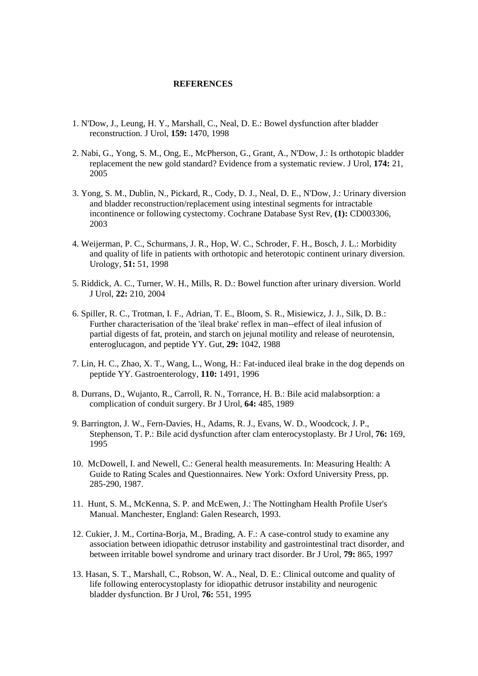## **REFERENCES**

- 1. N'Dow, J., Leung, H. Y., Marshall, C., Neal, D. E.: Bowel dysfunction after bladder reconstruction. J Urol, **159:** 1470, 1998
- 2. Nabi, G., Yong, S. M., Ong, E., McPherson, G., Grant, A., N'Dow, J.: Is orthotopic bladder replacement the new gold standard? Evidence from a systematic review. J Urol, **174:** 21, 2005
- 3. Yong, S. M., Dublin, N., Pickard, R., Cody, D. J., Neal, D. E., N'Dow, J.: Urinary diversion and bladder reconstruction/replacement using intestinal segments for intractable incontinence or following cystectomy. Cochrane Database Syst Rev, **(1):** CD003306, 2003
- 4. Weijerman, P. C., Schurmans, J. R., Hop, W. C., Schroder, F. H., Bosch, J. L.: Morbidity and quality of life in patients with orthotopic and heterotopic continent urinary diversion. Urology, **51:** 51, 1998
- 5. Riddick, A. C., Turner, W. H., Mills, R. D.: Bowel function after urinary diversion. World J Urol, **22:** 210, 2004
- 6. Spiller, R. C., Trotman, I. F., Adrian, T. E., Bloom, S. R., Misiewicz, J. J., Silk, D. B.: Further characterisation of the 'ileal brake' reflex in man--effect of ileal infusion of partial digests of fat, protein, and starch on jejunal motility and release of neurotensin, enteroglucagon, and peptide YY. Gut, **29:** 1042, 1988
- 7. Lin, H. C., Zhao, X. T., Wang, L., Wong, H.: Fat-induced ileal brake in the dog depends on peptide YY. Gastroenterology, **110:** 1491, 1996
- 8. Durrans, D., Wujanto, R., Carroll, R. N., Torrance, H. B.: Bile acid malabsorption: a complication of conduit surgery. Br J Urol, **64:** 485, 1989
- 9. Barrington, J. W., Fern-Davies, H., Adams, R. J., Evans, W. D., Woodcock, J. P., Stephenson, T. P.: Bile acid dysfunction after clam enterocystoplasty. Br J Urol, **76:** 169, 1995
- 10. McDowell, I. and Newell, C.: General health measurements. In: Measuring Health: A Guide to Rating Scales and Questionnaires. New York: Oxford University Press, pp. 285-290, 1987.
- 11. Hunt, S. M., McKenna, S. P. and McEwen, J.: The Nottingham Health Profile User's Manual. Manchester, England: Galen Research, 1993.
- 12. Cukier, J. M., Cortina-Borja, M., Brading, A. F.: A case-control study to examine any association between idiopathic detrusor instability and gastrointestinal tract disorder, and between irritable bowel syndrome and urinary tract disorder. Br J Urol, **79:** 865, 1997
- 13. Hasan, S. T., Marshall, C., Robson, W. A., Neal, D. E.: Clinical outcome and quality of life following enterocystoplasty for idiopathic detrusor instability and neurogenic bladder dysfunction. Br J Urol, **76:** 551, 1995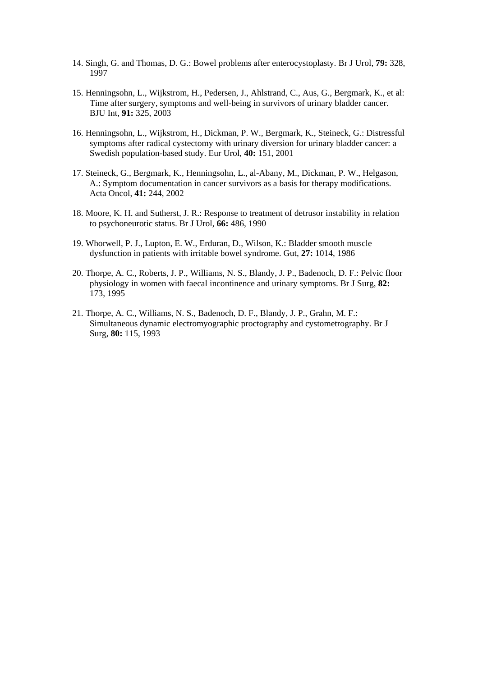- 14. Singh, G. and Thomas, D. G.: Bowel problems after enterocystoplasty. Br J Urol, **79:** 328, 1997
- 15. Henningsohn, L., Wijkstrom, H., Pedersen, J., Ahlstrand, C., Aus, G., Bergmark, K., et al: Time after surgery, symptoms and well-being in survivors of urinary bladder cancer. BJU Int, **91:** 325, 2003
- 16. Henningsohn, L., Wijkstrom, H., Dickman, P. W., Bergmark, K., Steineck, G.: Distressful symptoms after radical cystectomy with urinary diversion for urinary bladder cancer: a Swedish population-based study. Eur Urol, **40:** 151, 2001
- 17. Steineck, G., Bergmark, K., Henningsohn, L., al-Abany, M., Dickman, P. W., Helgason, A.: Symptom documentation in cancer survivors as a basis for therapy modifications. Acta Oncol, **41:** 244, 2002
- 18. Moore, K. H. and Sutherst, J. R.: Response to treatment of detrusor instability in relation to psychoneurotic status. Br J Urol, **66:** 486, 1990
- 19. Whorwell, P. J., Lupton, E. W., Erduran, D., Wilson, K.: Bladder smooth muscle dysfunction in patients with irritable bowel syndrome. Gut, **27:** 1014, 1986
- 20. Thorpe, A. C., Roberts, J. P., Williams, N. S., Blandy, J. P., Badenoch, D. F.: Pelvic floor physiology in women with faecal incontinence and urinary symptoms. Br J Surg, **82:**  173, 1995
- 21. Thorpe, A. C., Williams, N. S., Badenoch, D. F., Blandy, J. P., Grahn, M. F.: Simultaneous dynamic electromyographic proctography and cystometrography. Br J Surg, **80:** 115, 1993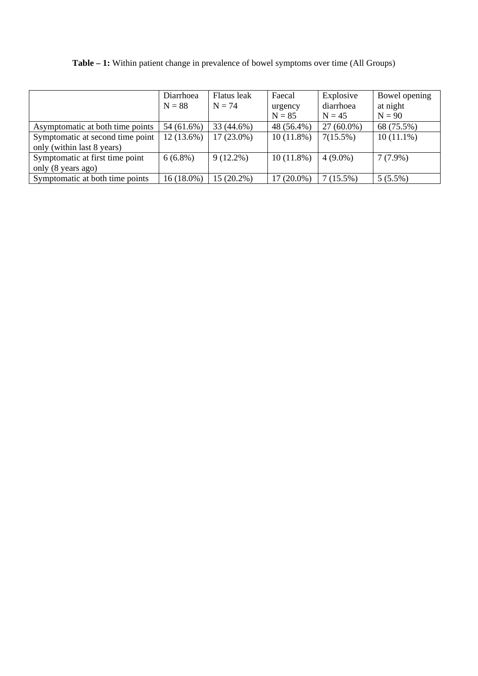|                                  | Diarrhoea<br>$N = 88$ | Flatus leak<br>$N = 74$ | Faecal<br>urgency<br>$N = 85$ | Explosive<br>diarrhoea<br>$N = 45$ | Bowel opening<br>at night<br>$N = 90$ |
|----------------------------------|-----------------------|-------------------------|-------------------------------|------------------------------------|---------------------------------------|
| Asymptomatic at both time points | 54 (61.6%)            | 33 (44.6%)              | 48 (56.4%)                    | $27(60.0\%)$                       | 68 (75.5%)                            |
| Symptomatic at second time point | $12(13.6\%)$          | $17(23.0\%)$            | $10(11.8\%)$                  | $7(15.5\%)$                        | $10(11.1\%)$                          |
| only (within last 8 years)       |                       |                         |                               |                                    |                                       |
| Symptomatic at first time point  | $6(6.8\%)$            | $9(12.2\%)$             | $10(11.8\%)$                  | $4(9.0\%)$                         | $7(7.9\%)$                            |
| only (8 years ago)               |                       |                         |                               |                                    |                                       |
| Symptomatic at both time points  | 16 (18.0%)            | 15 (20.2%)              | 17 (20.0%)                    | 7(15.5%)                           | $5(5.5\%)$                            |

**Table – 1:** Within patient change in prevalence of bowel symptoms over time (All Groups)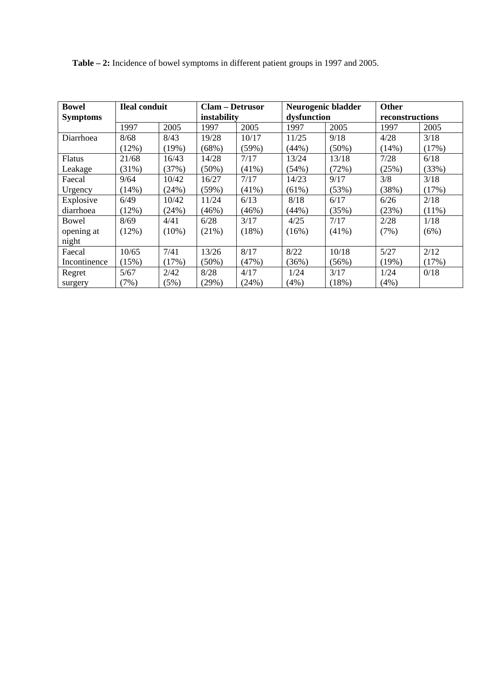**Table – 2:** Incidence of bowel symptoms in different patient groups in 1997 and 2005.

| <b>Bowel</b><br><b>Ileal conduit</b> |       | <b>Clam – Detrusor</b> |             |          | Neurogenic bladder |             | <b>Other</b> |                 |  |
|--------------------------------------|-------|------------------------|-------------|----------|--------------------|-------------|--------------|-----------------|--|
| <b>Symptoms</b>                      |       |                        | instability |          |                    | dysfunction |              | reconstructions |  |
|                                      | 1997  | 2005                   | 1997        | 2005     | 1997               | 2005        | 1997         | 2005            |  |
| Diarrhoea                            | 8/68  | 8/43                   | 19/28       | 10/17    | 11/25              | 9/18        | 4/28         | 3/18            |  |
|                                      | (12%) | (19%)                  | (68%)       | (59%)    | (44%)              | $(50\%)$    | (14%)        | (17%)           |  |
| <b>Flatus</b>                        | 21/68 | 16/43                  | 14/28       | 7/17     | 13/24              | 13/18       | 7/28         | 6/18            |  |
| Leakage                              | (31%) | (37%)                  | $(50\%)$    | $(41\%)$ | (54%)              | (72%)       | (25%)        | (33%)           |  |
| Faecal                               | 9/64  | 10/42                  | 16/27       | 7/17     | 14/23              | 9/17        | 3/8          | 3/18            |  |
| Urgency                              | (14%) | (24%)                  | (59%)       | $(41\%)$ | (61%)              | (53%)       | (38%)        | (17%)           |  |
| Explosive                            | 6/49  | 10/42                  | 11/24       | 6/13     | 8/18               | 6/17        | 6/26         | 2/18            |  |
| diarrhoea                            | (12%) | (24%)                  | (46%)       | (46%)    | (44%)              | (35%)       | (23%)        | $(11\%)$        |  |
| Bowel                                | 8/69  | 4/41                   | 6/28        | 3/17     | 4/25               | 7/17        | 2/28         | 1/18            |  |
| opening at                           | (12%) | $(10\%)$               | (21%)       | (18%)    | (16%)              | $(41\%)$    | (7%)         | (6%)            |  |
| night                                |       |                        |             |          |                    |             |              |                 |  |
| Faecal                               | 10/65 | 7/41                   | 13/26       | 8/17     | 8/22               | 10/18       | 5/27         | 2/12            |  |
| Incontinence                         | (15%) | (17%)                  | $(50\%)$    | (47%)    | (36%)              | (56%)       | (19%)        | (17%)           |  |
| Regret                               | 5/67  | 2/42                   | 8/28        | 4/17     | 1/24               | 3/17        | 1/24         | 0/18            |  |
| surgery                              | (7%)  | (5%)                   | (29%)       | (24%)    | $(4\%)$            | (18%)       | (4%)         |                 |  |